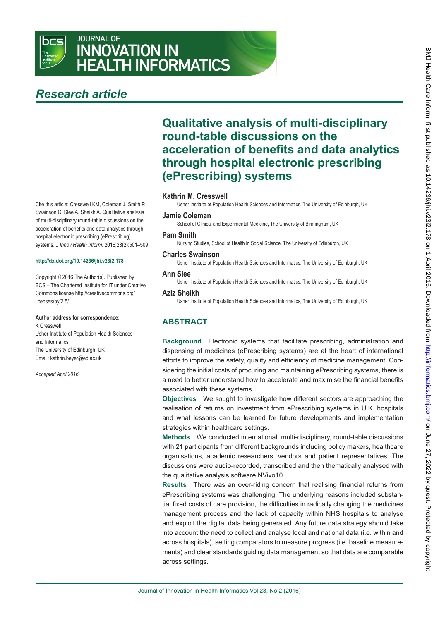

# JOURNAL OF INNOVATION IN HEALTH INFORMATICS

# *Research article*

Cite this article: Cresswell KM, Coleman J, Smith P, Swainson C, Slee A, Sheikh A. Qualitative analysis of multi-disciplinary round-table discussions on the acceleration of benefits and data analytics through hospital electronic prescribing (ePrescribing) systems. *J Innov Health Inform*. 2016;23(2):501–509.

#### **http://dx.doi.org/10.14236/jhi.v23i2.178**

Copyright © 2016 The Author(s). Published by BCS – The Chartered Institute for IT under Creative Commons license http://creativecommons.org/ licenses/by/2.5/

# **Author address for correspondence:**

K Cresswell Usher Institute of Population Health Sciences and Informatics The University of Edinburgh, UK Email: kathrin.beyer@ed.ac.uk

*Accepted April 2016*

**Qualitative analysis of multi-disciplinary round-table discussions on the acceleration of benefits and data analytics through hospital electronic prescribing (ePrescribing) systems** 

## **Kathrin M. Cresswell**

Usher Institute of Population Health Sciences and Informatics, The University of Edinburgh, UK

#### **Jamie Coleman**

School of Clinical and Experimental Medicine, The University of Birmingham, UK

#### **Pam Smith**

Nursing Studies, School of Health in Social Science, The University of Edinburgh, UK

# **Charles Swainson**

Usher Institute of Population Health Sciences and Informatics, The University of Edinburgh, UK

#### **Ann Slee**

Usher Institute of Population Health Sciences and Informatics, The University of Edinburgh, UK

## **Aziz Sheikh**

Usher Institute of Population Health Sciences and Informatics, The University of Edinburgh, UK

# **ABSTRACT**

**Background** Electronic systems that facilitate prescribing, administration and dispensing of medicines (ePrescribing systems) are at the heart of international efforts to improve the safety, quality and efficiency of medicine management. Considering the initial costs of procuring and maintaining ePrescribing systems, there is a need to better understand how to accelerate and maximise the financial benefits associated with these systems.

**Objectives** We sought to investigate how different sectors are approaching the realisation of returns on investment from ePrescribing systems in U.K. hospitals and what lessons can be learned for future developments and implementation strategies within healthcare settings.

**Methods** We conducted international, multi-disciplinary, round-table discussions with 21 participants from different backgrounds including policy makers, healthcare organisations, academic researchers, vendors and patient representatives. The discussions were audio-recorded, transcribed and then thematically analysed with the qualitative analysis software NVivo10.

**Results** There was an over-riding concern that realising financial returns from ePrescribing systems was challenging. The underlying reasons included substantial fixed costs of care provision, the difficulties in radically changing the medicines management process and the lack of capacity within NHS hospitals to analyse and exploit the digital data being generated. Any future data strategy should take into account the need to collect and analyse local and national data (i.e. within and across hospitals), setting comparators to measure progress (i.e. baseline measurements) and clear standards guiding data management so that data are comparable across settings.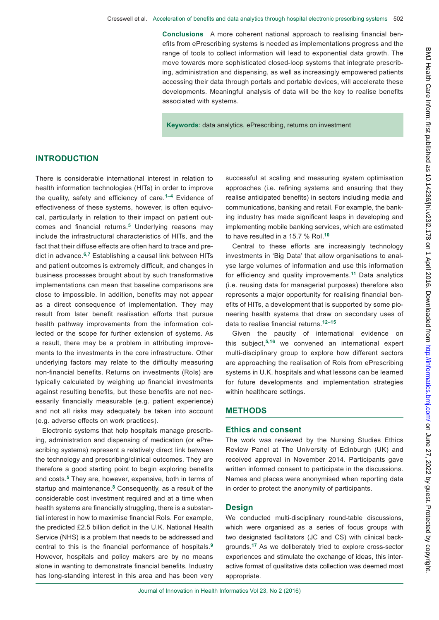**Conclusions** A more coherent national approach to realising financial benefits from ePrescribing systems is needed as implementations progress and the range of tools to collect information will lead to exponential data growth. The move towards more sophisticated closed-loop systems that integrate prescribing, administration and dispensing, as well as increasingly empowered patients accessing their data through portals and portable devices, will accelerate these developments. Meaningful analysis of data will be the key to realise benefits associated with systems.

**Keywords**: data analytics, ePrescribing, returns on investment

# **INTRODUCTION**

There is considerable international interest in relation to health information technologies (HITs) in order to improve the quality, safety and efficiency of care.**1–4** Evidence of effectiveness of these systems, however, is often equivocal, particularly in relation to their impact on patient outcomes and financial returns.**5** Underlying reasons may include the infrastructural characteristics of HITs, and the fact that their diffuse effects are often hard to trace and predict in advance.**6,7** Establishing a causal link between HITs and patient outcomes is extremely difficult, and changes in business processes brought about by such transformative implementations can mean that baseline comparisons are close to impossible. In addition, benefits may not appear as a direct consequence of implementation. They may result from later benefit realisation efforts that pursue health pathway improvements from the information collected or the scope for further extension of systems. As a result, there may be a problem in attributing improvements to the investments in the core infrastructure. Other underlying factors may relate to the difficulty measuring non-financial benefits. Returns on investments (RoIs) are typically calculated by weighing up financial investments against resulting benefits, but these benefits are not necessarily financially measurable (e.g. patient experience) and not all risks may adequately be taken into account (e.g. adverse effects on work practices).

Electronic systems that help hospitals manage prescribing, administration and dispensing of medication (or ePrescribing systems) represent a relatively direct link between the technology and prescribing/clinical outcomes. They are therefore a good starting point to begin exploring benefits and costs.**5** They are, however, expensive, both in terms of startup and maintenance.**8** Consequently, as a result of the considerable cost investment required and at a time when health systems are financially struggling, there is a substantial interest in how to maximise financial RoIs. For example, the predicted £2.5 billion deficit in the U.K. National Health Service (NHS) is a problem that needs to be addressed and central to this is the financial performance of hospitals.**<sup>9</sup>** However, hospitals and policy makers are by no means alone in wanting to demonstrate financial benefits. Industry has long-standing interest in this area and has been very successful at scaling and measuring system optimisation approaches (i.e. refining systems and ensuring that they realise anticipated benefits) in sectors including media and communications, banking and retail. For example, the banking industry has made significant leaps in developing and implementing mobile banking services, which are estimated to have resulted in a 15.7 % RoI.**<sup>10</sup>**

Central to these efforts are increasingly technology investments in 'Big Data' that allow organisations to analyse large volumes of information and use this information for efficiency and quality improvements.**11** Data analytics (i.e. reusing data for managerial purposes) therefore also represents a major opportunity for realising financial benefits of HITs, a development that is supported by some pioneering health systems that draw on secondary uses of data to realise financial returns.**12–15**

Given the paucity of international evidence on this subject,**5,16** we convened an international expert multi-disciplinary group to explore how different sectors are approaching the realisation of RoIs from ePrescribing systems in U.K. hospitals and what lessons can be learned for future developments and implementation strategies within healthcare settings.

# **Methods**

# **Ethics and consent**

The work was reviewed by the Nursing Studies Ethics Review Panel at The University of Edinburgh (UK) and received approval in November 2014. Participants gave written informed consent to participate in the discussions. Names and places were anonymised when reporting data in order to protect the anonymity of participants.

# **Design**

We conducted multi-disciplinary round-table discussions, which were organised as a series of focus groups with two designated facilitators (JC and CS) with clinical backgrounds.**17** As we deliberately tried to explore cross-sector experiences and stimulate the exchange of ideas, this interactive format of qualitative data collection was deemed most appropriate.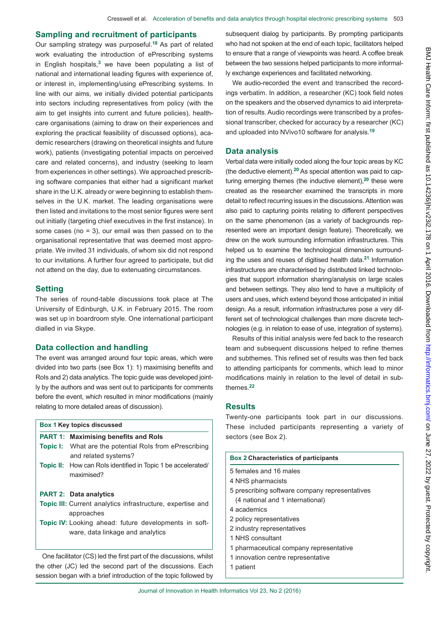## **Sampling and recruitment of participants**

Our sampling strategy was purposeful.**18** As part of related work evaluating the introduction of ePrescribing systems in English hospitals,**3** we have been populating a list of national and international leading figures with experience of, or interest in, implementing/using ePrescribing systems. In line with our aims, we initially divided potential participants into sectors including representatives from policy (with the aim to get insights into current and future policies), healthcare organisations (aiming to draw on their experiences and exploring the practical feasibility of discussed options), academic researchers (drawing on theoretical insights and future work), patients (investigating potential impacts on perceived care and related concerns), and industry (seeking to learn from experiences in other settings). We approached prescribing software companies that either had a significant market share in the U.K. already or were beginning to establish themselves in the U.K. market. The leading organisations were then listed and invitations to the most senior figures were sent out initially (targeting chief executives in the first instance). In some cases (no = 3), our email was then passed on to the organisational representative that was deemed most appropriate. We invited 31 individuals, of whom six did not respond to our invitations. A further four agreed to participate, but did not attend on the day, due to extenuating circumstances.

#### **Setting**

The series of round-table discussions took place at The University of Edinburgh, U.K. in February 2015. The room was set up in boardroom style. One international participant dialled in via Skype.

## **Data collection and handling**

The event was arranged around four topic areas, which were divided into two parts (see Box 1): 1) maximising benefits and RoIs and 2) data analytics. The topic guide was developed jointly by the authors and was sent out to participants for comments before the event, which resulted in minor modifications (mainly relating to more detailed areas of discussion).

| <b>PART 1: Maximising benefits and Rols</b>                                                      |
|--------------------------------------------------------------------------------------------------|
| <b>Topic I:</b> What are the potential Rols from ePrescribing<br>and related systems?            |
| <b>Topic II:</b> How can Rols identified in Topic 1 be accelerated/<br>maximised?                |
| <b>PART 2: Data analytics</b>                                                                    |
| Topic III: Current analytics infrastructure, expertise and<br>approaches                         |
| <b>Topic IV:</b> Looking ahead: future developments in soft-<br>ware, data linkage and analytics |

One facilitator (CS) led the first part of the discussions, whilst the other (JC) led the second part of the discussions. Each session began with a brief introduction of the topic followed by

subsequent dialog by participants. By prompting participants who had not spoken at the end of each topic, facilitators helped to ensure that a range of viewpoints was heard. A coffee break between the two sessions helped participants to more informally exchange experiences and facilitated networking.

We audio-recorded the event and transcribed the recordings verbatim. In addition, a researcher (KC) took field notes on the speakers and the observed dynamics to aid interpretation of results. Audio recordings were transcribed by a professional transcriber, checked for accuracy by a researcher (KC) and uploaded into NVivo10 software for analysis.**<sup>19</sup>**

#### **Data analysis**

Verbal data were initially coded along the four topic areas by KC (the deductive element).**20** As special attention was paid to capturing emerging themes (the inductive element),**20** these were created as the researcher examined the transcripts in more detail to reflect recurring issues in the discussions. Attention was also paid to capturing points relating to different perspectives on the same phenomenon (as a variety of backgrounds represented were an important design feature). Theoretically, we drew on the work surrounding information infrastructures. This helped us to examine the technological dimension surrounding the uses and reuses of digitised health data.**21** Information infrastructures are characterised by distributed linked technologies that support information sharing/analysis on large scales and between settings. They also tend to have a multiplicity of users and uses, which extend beyond those anticipated in initial design. As a result, information infrastructures pose a very different set of technological challenges than more discrete technologies (e.g. in relation to ease of use, integration of systems).

Results of this initial analysis were fed back to the research team and subsequent discussions helped to refine themes and subthemes. This refined set of results was then fed back to attending participants for comments, which lead to minor modifications mainly in relation to the level of detail in subthemes.**<sup>22</sup>**

## **Results**

Twenty-one participants took part in our discussions. These included participants representing a variety of sectors (see Box 2).

| <b>Box 2 Characteristics of participants</b>   |  |  |
|------------------------------------------------|--|--|
| 5 females and 16 males                         |  |  |
| 4 NHS pharmacists                              |  |  |
| 5 prescribing software company representatives |  |  |
| (4 national and 1 international)               |  |  |
| 4 academics                                    |  |  |
| 2 policy representatives                       |  |  |
| 2 industry representatives                     |  |  |
| 1 NHS consultant                               |  |  |
| 1 pharmaceutical company representative        |  |  |
| 1 innovation centre representative             |  |  |
| 1 patient                                      |  |  |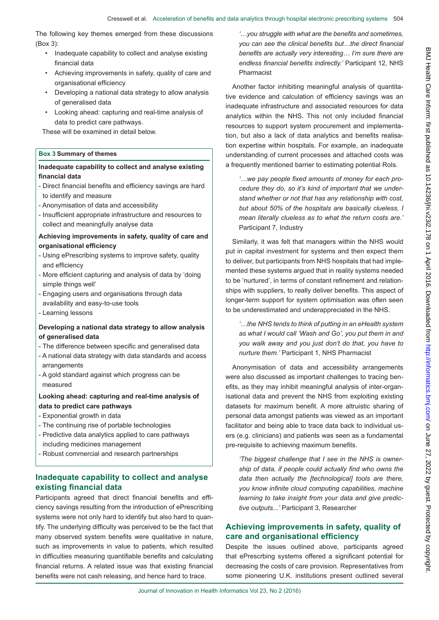The following key themes emerged from these discussions (Box 3):

- Inadequate capability to collect and analyse existing financial data
- Achieving improvements in safety, quality of care and organisational efficiency
- Developing a national data strategy to allow analysis of generalised data
- Looking ahead: capturing and real-time analysis of data to predict care pathways.

These will be examined in detail below.

#### **Box 3 Summary of themes**

## **Inadequate capability to collect and analyse existing financial data**

- Direct financial benefits and efficiency savings are hard to identify and measure
- Anonymisation of data and accessibility
- Insufficient appropriate infrastructure and resources to collect and meaningfully analyse data

# **Achieving improvements in safety, quality of care and organisational efficiency**

- Using ePrescribing systems to improve safety, quality and efficiency
- More efficient capturing and analysis of data by 'doing simple things well'
- Engaging users and organisations through data availability and easy-to-use tools
- Learning lessons

# **Developing a national data strategy to allow analysis of generalised data**

- The difference between specific and generalised data
- A national data strategy with data standards and access arrangements
- A gold standard against which progress can be measured

# **Looking ahead: capturing and real-time analysis of data to predict care pathways**

- Exponential growth in data
- The continuing rise of portable technologies
- Predictive data analytics applied to care pathways including medicines management
- Robust commercial and research partnerships

# **Inadequate capability to collect and analyse existing financial data**

Participants agreed that direct financial benefits and efficiency savings resulting from the introduction of ePrescribing systems were not only hard to identify but also hard to quantify. The underlying difficulty was perceived to be the fact that many observed system benefits were qualitative in nature, such as improvements in value to patients, which resulted in difficulties measuring quantifiable benefits and calculating financial returns. A related issue was that existing financial benefits were not cash releasing, and hence hard to trace.

*'…you struggle with what are the benefits and sometimes, you can see the clinical benefits but…the direct financial benefits are actually very interesting… I'm sure there are endless financial benefits indirectly.'* Participant 12, NHS Pharmacist

Another factor inhibiting meaningful analysis of quantitative evidence and calculation of efficiency savings was an inadequate infrastructure and associated resources for data analytics within the NHS. This not only included financial resources to support system procurement and implementation, but also a lack of data analytics and benefits realisation expertise within hospitals. For example, an inadequate understanding of current processes and attached costs was a frequently mentioned barrier to estimating potential RoIs.

*'…we pay people fixed amounts of money for each procedure they do, so it's kind of important that we understand whether or not that has any relationship with cost, but about 50% of the hospitals are basically clueless, I mean literally clueless as to what the return costs are.'* Participant 7, Industry

Similarly, it was felt that managers within the NHS would put in capital investment for systems and then expect them to deliver, but participants from NHS hospitals that had implemented these systems argued that in reality systems needed to be 'nurtured', in terms of constant refinement and relationships with suppliers, to really deliver benefits. This aspect of longer-term support for system optimisation was often seen to be underestimated and underappreciated in the NHS.

*'…the NHS tends to think of putting in an eHealth system as what I would call 'Wash and Go', you put them in and you walk away and you just don't do that, you have to nurture them.'* Participant 1, NHS Pharmacist

Anonymisation of data and accessibility arrangements were also discussed as important challenges to tracing benefits, as they may inhibit meaningful analysis of inter-organisational data and prevent the NHS from exploiting existing datasets for maximum benefit. A more altruistic sharing of personal data amongst patients was viewed as an important facilitator and being able to trace data back to individual users (e.g. clinicians) and patients was seen as a fundamental pre-requisite to achieving maximum benefits.

*'The biggest challenge that I see in the NHS is ownership of data, if people could actually find who owns the data then actually the [technological] tools are there, you know infinite cloud computing capabilities, machine learning to take insight from your data and give predictive outputs...'* Participant 3, Researcher

# **Achieving improvements in safety, quality of care and organisational efficiency**

Despite the issues outlined above, participants agreed that ePrescrbing systems offered a significant potential for decreasing the costs of care provision. Representatives from some pioneering U.K. institutions present outlined several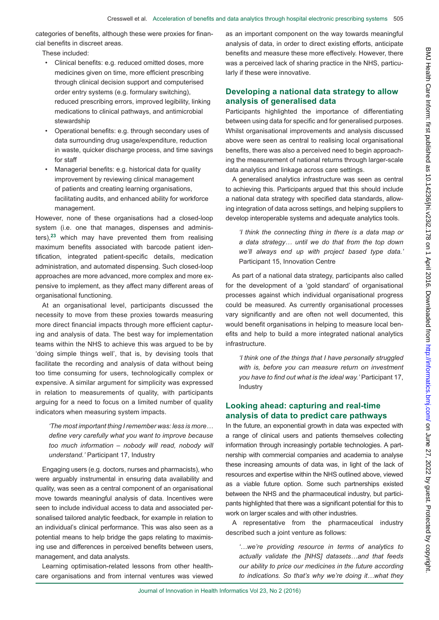categories of benefits, although these were proxies for financial benefits in discreet areas.

These included:

- Clinical benefits: e.g. reduced omitted doses, more medicines given on time, more efficient prescribing through clinical decision support and computerised order entry systems (e.g. formulary switching), reduced prescribing errors, improved legibility, linking medications to clinical pathways, and antimicrobial stewardship
- Operational benefits: e.g. through secondary uses of data surrounding drug usage/expenditure, reduction in waste, quicker discharge process, and time savings for staff
- Managerial benefits: e.g. historical data for quality improvement by reviewing clinical management of patients and creating learning organisations, facilitating audits, and enhanced ability for workforce management.

However, none of these organisations had a closed-loop system (i.e. one that manages, dispenses and administers),**23** which may have prevented them from realising maximum benefits associated with barcode patient identification, integrated patient-specific details, medication administration, and automated dispensing. Such closed-loop approaches are more advanced, more complex and more expensive to implement, as they affect many different areas of organisational functioning.

At an organisational level, participants discussed the necessity to move from these proxies towards measuring more direct financial impacts through more efficient capturing and analysis of data. The best way for implementation teams within the NHS to achieve this was argued to be by 'doing simple things well', that is, by devising tools that facilitate the recording and analysis of data without being too time consuming for users, technologically complex or expensive. A similar argument for simplicity was expressed in relation to measurements of quality, with participants arguing for a need to focus on a limited number of quality indicators when measuring system impacts.

*'The most important thing I remember was: less is more… define very carefully what you want to improve because too much information – nobody will read, nobody will understand.'* Participant 17, Industry

Engaging users (e.g. doctors, nurses and pharmacists), who were arguably instrumental in ensuring data availability and quality, was seen as a central component of an organisational move towards meaningful analysis of data. Incentives were seen to include individual access to data and associated personalised tailored analytic feedback, for example in relation to an individual's clinical performance. This was also seen as a potential means to help bridge the gaps relating to maximising use and differences in perceived benefits between users, management, and data analysts.

Learning optimisation-related lessons from other healthcare organisations and from internal ventures was viewed as an important component on the way towards meaningful analysis of data, in order to direct existing efforts, anticipate benefits and measure these more effectively. However, there was a perceived lack of sharing practice in the NHS, particularly if these were innovative.

# **Developing a national data strategy to allow analysis of generalised data**

Participants highlighted the importance of differentiating between using data for specific and for generalised purposes. Whilst organisational improvements and analysis discussed above were seen as central to realising local organisational benefits, there was also a perceived need to begin approaching the measurement of national returns through larger-scale data analytics and linkage across care settings.

A generalised analytics infrastructure was seen as central to achieving this. Participants argued that this should include a national data strategy with specified data standards, allowing integration of data across settings, and helping suppliers to develop interoperable systems and adequate analytics tools.

*'I think the connecting thing in there is a data map or a data strategy… until we do that from the top down we'll always end up with project based type data.'*  Participant 15, Innovation Centre

As part of a national data strategy, participants also called for the development of a 'gold standard' of organisational processes against which individual organisational progress could be measured. As currently organisational processes vary significantly and are often not well documented, this would benefit organisations in helping to measure local benefits and help to build a more integrated national analytics infrastructure.

*'I think one of the things that I have personally struggled with is, before you can measure return on investment you have to find out what is the ideal way.'* Participant 17, Industry

# **Looking ahead: capturing and real-time analysis of data to predict care pathways**

In the future, an exponential growth in data was expected with a range of clinical users and patients themselves collecting information through increasingly portable technologies. A partnership with commercial companies and academia to analyse these increasing amounts of data was, in light of the lack of resources and expertise within the NHS outlined above, viewed as a viable future option. Some such partnerships existed between the NHS and the pharmaceutical industry, but participants highlighted that there was a significant potential for this to work on larger scales and with other industries.

A representative from the pharmaceutical industry described such a joint venture as follows:

*'…we're providing resource in terms of analytics to actually validate the [NHS] datasets…and that feeds our ability to price our medicines in the future according to indications. So that's why we're doing it…what they*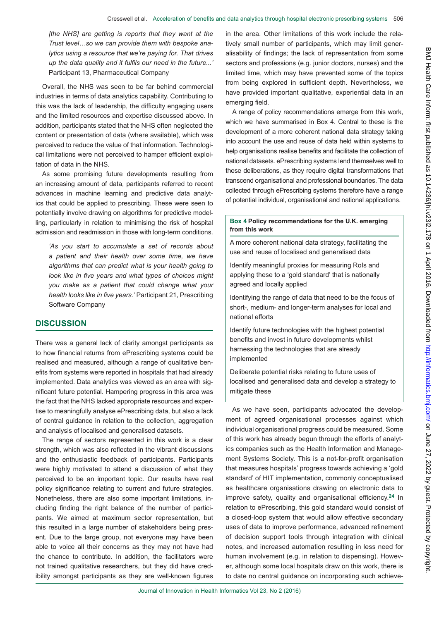*[the NHS] are getting is reports that they want at the Trust level…so we can provide them with bespoke analytics using a resource that we're paying for. That drives up the data quality and it fulfils our need in the future...'* Participant 13, Pharmaceutical Company

Overall, the NHS was seen to be far behind commercial industries in terms of data analytics capability. Contributing to this was the lack of leadership, the difficulty engaging users and the limited resources and expertise discussed above. In addition, participants stated that the NHS often neglected the content or presentation of data (where available), which was perceived to reduce the value of that information. Technological limitations were not perceived to hamper efficient exploitation of data in the NHS.

As some promising future developments resulting from an increasing amount of data, participants referred to recent advances in machine learning and predictive data analytics that could be applied to prescribing. These were seen to potentially involve drawing on algorithms for predictive modelling, particularly in relation to minimising the risk of hospital admission and readmission in those with long-term conditions.

*'As you start to accumulate a set of records about a patient and their health over some time, we have algorithms that can predict what is your health going to look like in five years and what types of choices might you make as a patient that could change what your health looks like in five years.'* Participant 21, Prescribing Software Company

# **Discussion**

There was a general lack of clarity amongst participants as to how financial returns from ePrescribing systems could be realised and measured, although a range of qualitative benefits from systems were reported in hospitals that had already implemented. Data analytics was viewed as an area with significant future potential. Hampering progress in this area was the fact that the NHS lacked appropriate resources and expertise to meaningfully analyse ePrescribing data, but also a lack of central guidance in relation to the collection, aggregation and analysis of localised and generalised datasets.

The range of sectors represented in this work is a clear strength, which was also reflected in the vibrant discussions and the enthusiastic feedback of participants. Participants were highly motivated to attend a discussion of what they perceived to be an important topic. Our results have real policy significance relating to current and future strategies. Nonetheless, there are also some important limitations, including finding the right balance of the number of participants. We aimed at maximum sector representation, but this resulted in a large number of stakeholders being present. Due to the large group, not everyone may have been able to voice all their concerns as they may not have had the chance to contribute. In addition, the facilitators were not trained qualitative researchers, but they did have credibility amongst participants as they are well-known figures

in the area. Other limitations of this work include the relatively small number of participants, which may limit generalisability of findings; the lack of representation from some sectors and professions (e.g. junior doctors, nurses) and the limited time, which may have prevented some of the topics from being explored in sufficient depth. Nevertheless, we have provided important qualitative, experiential data in an emerging field.

A range of policy recommendations emerge from this work, which we have summarised in Box 4. Central to these is the development of a more coherent national data strategy taking into account the use and reuse of data held within systems to help organisations realise benefits and facilitate the collection of national datasets. ePrescribing systems lend themselves well to these deliberations, as they require digital transformations that transcend organisational and professional boundaries. The data collected through ePrescribing systems therefore have a range of potential individual, organisational and national applications.

#### **Box 4 Policy recommendations for the U.K. emerging from this work**

A more coherent national data strategy, facilitating the use and reuse of localised and generalised data

Identify meaningful proxies for measuring RoIs and applying these to a 'gold standard' that is nationally agreed and locally applied

Identifying the range of data that need to be the focus of short-, medium- and longer-term analyses for local and national efforts

Identify future technologies with the highest potential benefits and invest in future developments whilst harnessing the technologies that are already implemented

Deliberate potential risks relating to future uses of localised and generalised data and develop a strategy to mitigate these

As we have seen, participants advocated the development of agreed organisational processes against which individual organisational progress could be measured. Some of this work has already begun through the efforts of analytics companies such as the Health Information and Management Systems Society. This is a not-for-profit organisation that measures hospitals' progress towards achieving a 'gold standard' of HIT implementation, commonly conceptualised as healthcare organisations drawing on electronic data to improve safety, quality and organisational efficiency.**24** In relation to ePrescribing, this gold standard would consist of a closed-loop system that would allow effective secondary uses of data to improve performance, advanced refinement of decision support tools through integration with clinical notes, and increased automation resulting in less need for human involvement (e.g. in relation to dispensing). However, although some local hospitals draw on this work, there is to date no central guidance on incorporating such achieve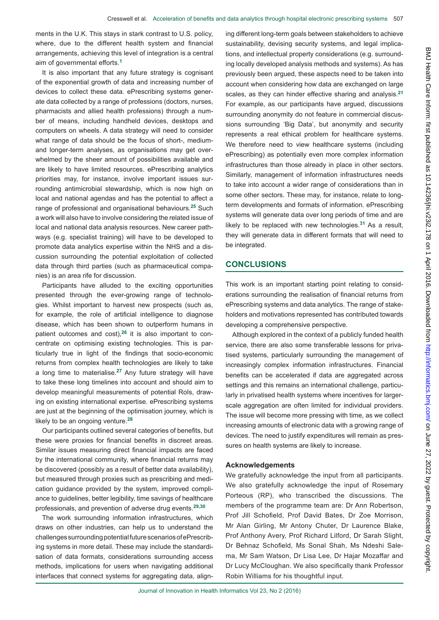ments in the U.K. This stays in stark contrast to U.S. policy, where, due to the different health system and financial arrangements, achieving this level of integration is a central aim of governmental efforts.**<sup>1</sup>**

It is also important that any future strategy is cognisant of the exponential growth of data and increasing number of devices to collect these data. ePrescribing systems generate data collected by a range of professions (doctors, nurses, pharmacists and allied health professions) through a number of means, including handheld devices, desktops and computers on wheels. A data strategy will need to consider what range of data should be the focus of short-, mediumand longer-term analyses, as organisations may get overwhelmed by the sheer amount of possibilities available and are likely to have limited resources. ePrescribing analytics priorities may, for instance, involve important issues surrounding antimicrobial stewardship, which is now high on local and national agendas and has the potential to affect a range of professional and organisational behaviours.**25** Such a work will also have to involve considering the related issue of local and national data analysis resources. New career pathways (e.g. specialist training) will have to be developed to promote data analytics expertise within the NHS and a discussion surrounding the potential exploitation of collected data through third parties (such as pharmaceutical companies) is an area rife for discussion.

Participants have alluded to the exciting opportunities presented through the ever-growing range of technologies. Whilst important to harvest new prospects (such as, for example, the role of artificial intelligence to diagnose disease, which has been shown to outperform humans in patient outcomes and cost),<sup>26</sup> it is also important to concentrate on optimising existing technologies. This is particularly true in light of the findings that socio-economic returns from complex health technologies are likely to take a long time to materialise.**27** Any future strategy will have to take these long timelines into account and should aim to develop meaningful measurements of potential RoIs, drawing on existing international expertise. ePrescribing systems are just at the beginning of the optimisation journey, which is likely to be an ongoing venture.**<sup>28</sup>**

Our participants outlined several categories of benefits, but these were proxies for financial benefits in discreet areas. Similar issues measuring direct financial impacts are faced by the international community, where financial returns may be discovered (possibly as a result of better data availability), but measured through proxies such as prescribing and medication guidance provided by the system, improved compliance to guidelines, better legibility, time savings of healthcare professionals, and prevention of adverse drug events.**29,30**

The work surrounding information infrastructures, which draws on other industries, can help us to understand the challenges surrounding potential future scenarios of ePrescribing systems in more detail. These may include the standardisation of data formats, considerations surrounding access methods, implications for users when navigating additional interfaces that connect systems for aggregating data, aligning different long-term goals between stakeholders to achieve sustainability, devising security systems, and legal implications, and intellectual property considerations (e.g. surrounding locally developed analysis methods and systems). As has previously been argued, these aspects need to be taken into account when considering how data are exchanged on large scales, as they can hinder effective sharing and analysis.**<sup>21</sup>** For example, as our participants have argued, discussions surrounding anonymity do not feature in commercial discussions surrounding 'Big Data', but anonymity and security represents a real ethical problem for healthcare systems. We therefore need to view healthcare systems (including ePrescribing) as potentially even more complex information infrastructures than those already in place in other sectors. Similarly, management of information infrastructures needs to take into account a wider range of considerations than in some other sectors. These may, for instance, relate to longterm developments and formats of information. ePrescribing systems will generate data over long periods of time and are likely to be replaced with new technologies.**31** As a result, they will generate data in different formats that will need to be integrated.

# **CONCLUSIONS**

This work is an important starting point relating to considerations surrounding the realisation of financial returns from ePrescribing systems and data analytics. The range of stakeholders and motivations represented has contributed towards developing a comprehensive perspective.

Although explored in the context of a publicly funded health service, there are also some transferable lessons for privatised systems, particularly surrounding the management of increasingly complex information infrastructures. Financial benefits can be accelerated if data are aggregated across settings and this remains an international challenge, particularly in privatised health systems where incentives for largerscale aggregation are often limited for individual providers. The issue will become more pressing with time, as we collect increasing amounts of electronic data with a growing range of devices. The need to justify expenditures will remain as pressures on health systems are likely to increase.

# **Acknowledgements**

We gratefully acknowledge the input from all participants. We also gratefully acknowledge the input of Rosemary Porteous (RP), who transcribed the discussions. The members of the programme team are: Dr Ann Robertson, Prof Jill Schofield, Prof David Bates, Dr Zoe Morrison, Mr Alan Girling, Mr Antony Chuter, Dr Laurence Blake, Prof Anthony Avery, Prof Richard Lilford, Dr Sarah Slight, Dr Behnaz Schofield, Ms Sonal Shah, Ms Ndeshi Salema, Mr Sam Watson, Dr Lisa Lee, Dr Hajar Mozaffar and Dr Lucy McCloughan. We also specifically thank Professor Robin Williams for his thoughtful input.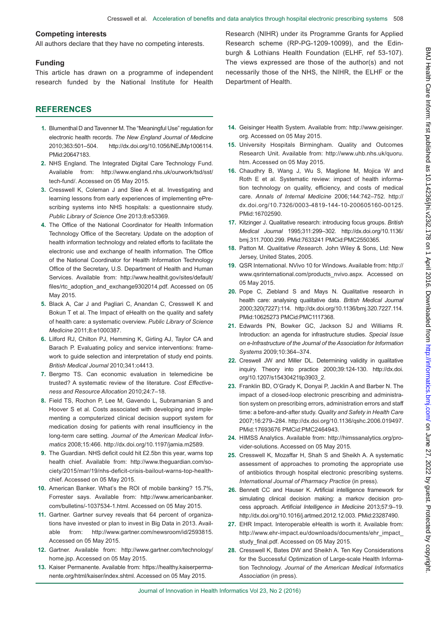#### **Competing interests**

All authors declare that they have no competing interests.

#### **Funding**

This article has drawn on a programme of independent research funded by the National Institute for Health

# **REFERENCES**

- **1.** Blumenthal D and Tavenner M. The "Meaningful Use" regulation for electronic health records. *The New England Journal of Medicine* 2010;363:501–504. http://dx.doi.org/10.1056/NEJMp1006114. PMid:20647183.
- **2.** NHS England. The Integrated Digital Care Technology Fund. Available from: http://www.england.nhs.uk/ourwork/tsd/sst/ tech-fund/. Accessed on 05 May 2015.
- **3.** Cresswell K, Coleman J and Slee A et al. Investigating and learning lessons from early experiences of implementing ePrescribing systems into NHS hospitals: a questionnaire study. *Public Library of Science One* 2013;8:e53369.
- **4.** The Office of the National Coordinator for Health Information Technology Office of the Secretary. Update on the adoption of health information technology and related efforts to facilitate the electronic use and exchange of health information. The Office of the National Coordinator for Health Information Technology Office of the Secretary, U.S. Department of Health and Human Services. Available from: http://www.healthit.gov/sites/default/ files/rtc\_adoption\_and\_exchange9302014.pdf. Accessed on 05 May 2015.
- **5.** Black A, Car J and Pagliari C, Anandan C, Cresswell K and Bokun T et al. The Impact of eHealth on the quality and safety of health care: a systematic overview. *Public Library of Science Medicine* 2011;8:e1000387.
- **6.** Lilford RJ, Chilton PJ, Hemming K, Girling AJ, Taylor CA and Barach P. Evaluating policy and service interventions: framework to guide selection and interpretation of study end points. *British Medical Journal* 2010;341:c4413.
- **7.** Bergmo TS. Can economic evaluation in telemedicine be trusted? A systematic review of the literature. *Cost Effectiveness and Resource Allocation* 2010;24:7–18.
- **8.** Field TS, Rochon P, Lee M, Gavendo L, Subramanian S and Hoover S et al. Costs associated with developing and implementing a computerized clinical decision support system for medication dosing for patients with renal insufficiency in the long-term care setting. *Journal of the American Medical Informatics* 2008;15:466. http://dx.doi.org/10.1197/jamia.m2589.
- **9.** The Guardian. NHS deficit could hit £2.5bn this year, warns top health chief. Available from: http://www.theguardian.com/society/2015/mar/19/nhs-deficit-crisis-bailout-warns-top-healthchief. Accessed on 05 May 2015.
- **10.** American Banker. What's the ROI of mobile banking? 15.7%, Forrester says. Available from: http://www.americanbanker. com/bulletins/-1037534-1.html. Accessed on 05 May 2015.
- **11.** Gartner. Gartner survey reveals that 64 percent of organizations have invested or plan to invest in Big Data in 2013. Available from: http://www.gartner.com/newsroom/id/2593815. Accessed on 05 May 2015.
- **12.** Gartner. Available from: http://www.gartner.com/technology/ home.jsp. Accessed on 05 May 2015.
- **13.** Kaiser Permanente. Available from: https://healthy.kaiserpermanente.org/html/kaiser/index.shtml. Accessed on 05 May 2015.

Research (NIHR) under its Programme Grants for Applied Research scheme (RP-PG-1209-10099), and the Edinburgh & Lothians Health Foundation (ELHF, ref 53-107). The views expressed are those of the author(s) and not necessarily those of the NHS, the NIHR, the ELHF or the Department of Health.

- **14.** Geisinger Health System. Available from: http://www.geisinger. org. Accessed on 05 May 2015.
- **15.** University Hospitals Birmingham. Quality and Outcomes Research Unit. Available from: http://www.uhb.nhs.uk/quoru. htm. Accessed on 05 May 2015.
- **16.** Chaudhry B, Wang J, Wu S, Maglione M, Mojica W and Roth E et al. Systematic review: impact of health information technology on quality, efficiency, and costs of medical care. *Annals of Internal Medicine* 2006;144:742–752. http:// dx.doi.org/10.7326/0003-4819-144-10-200605160-00125. PMid:16702590.
- **17.** Kitzinger J. Qualitative research: introducing focus groups. *British Medical Journal* 1995;311:299–302. http://dx.doi.org/10.1136/ bmj.311.7000.299. PMid:7633241 PMCid:PMC2550365.
- **18.** Patton M. *Qualitative Research*. John Wiley & Sons, Ltd: New Jersey, United States, 2005.
- **19.** QSR International. NVivo 10 for Windows. Available from: http:// www.qsrinternational.com/products\_nvivo.aspx. Accessed on 05 May 2015.
- **20.** Pope C, Ziebland S and Mays N. Qualitative research in health care: analysing qualitative data. *British Medical Journal* 2000;320(7227):114. http://dx.doi.org/10.1136/bmj.320.7227.114. PMid:10625273 PMCid:PMC1117368.
- **21.** Edwards PN, Bowker GC, Jackson SJ and Williams R. Introduction: an agenda for infrastructure studies. *Special Issue on e-Infrastructure of the Journal of the Association for Information Systems* 2009;10:364–374.
- **22.** Creswell JW and Miller DL. Determining validity in qualitative inquiry. Theory into practice 2000;39:124-130. http://dx.doi. org/10.1207/s15430421tip3903\_2.
- **23.** Franklin BD, O'Grady K, Donyai P, Jacklin A and Barber N. The impact of a closed-loop electronic prescribing and administration system on prescribing errors, administration errors and staff time: a before-and-after study. *Quality and Safety in Health Care* 2007;16:279–284. http://dx.doi.org/10.1136/qshc.2006.019497. PMid:17693676 PMCid:PMC2464943.
- **24.** HIMSS Analytics. Available from: http://himssanalytics.org/provider-solutions. Accessed on 05 May 2015.
- **25.** Cresswell K, Mozaffar H, Shah S and Sheikh A. A systematic assessment of approaches to promoting the appropriate use of antibiotics through hospital electronic prescribing systems. *International Journal of Pharmacy Practice* (in press).
- **26.** Bennett CC and Hauser K. Artificial intelligence framework for simulating clinical decision making: a markov decision process approach*. Artificial Intelligence in Medicine* 2013;57:9–19. http://dx.doi.org/10.1016/j.artmed.2012.12.003. PMid:23287490.
- **27.** EHR Impact. Interoperable eHealth is worth it. Available from: http://www.ehr-impact.eu/downloads/documents/ehr\_impact\_ study final.pdf. Accessed on 05 May 2015.
- **28.** Cresswell K, Bates DW and Sheikh A. Ten Key Considerations for the Successful Optimization of Large-scale Health Information Technology. *Journal of the American Medical Informatics Association* (in press).